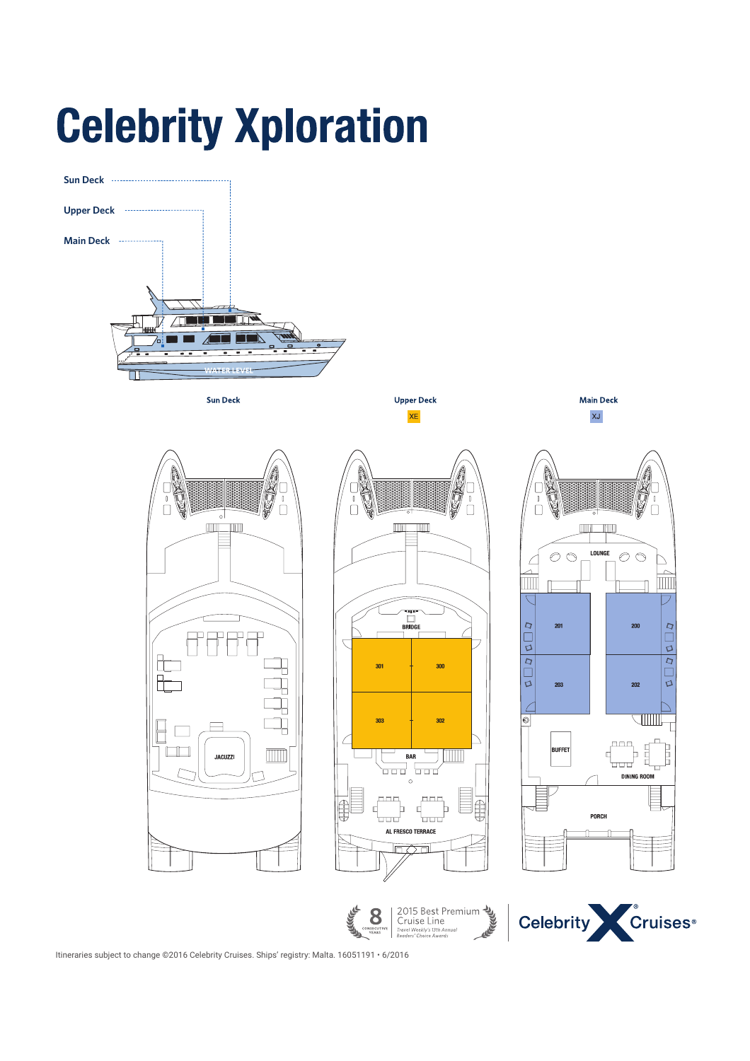# **Celebrity Xploration**



Itineraries subject to change ©2016 Celebrity Cruises. Ships' registry: Malta. 16051191 • 6/2016